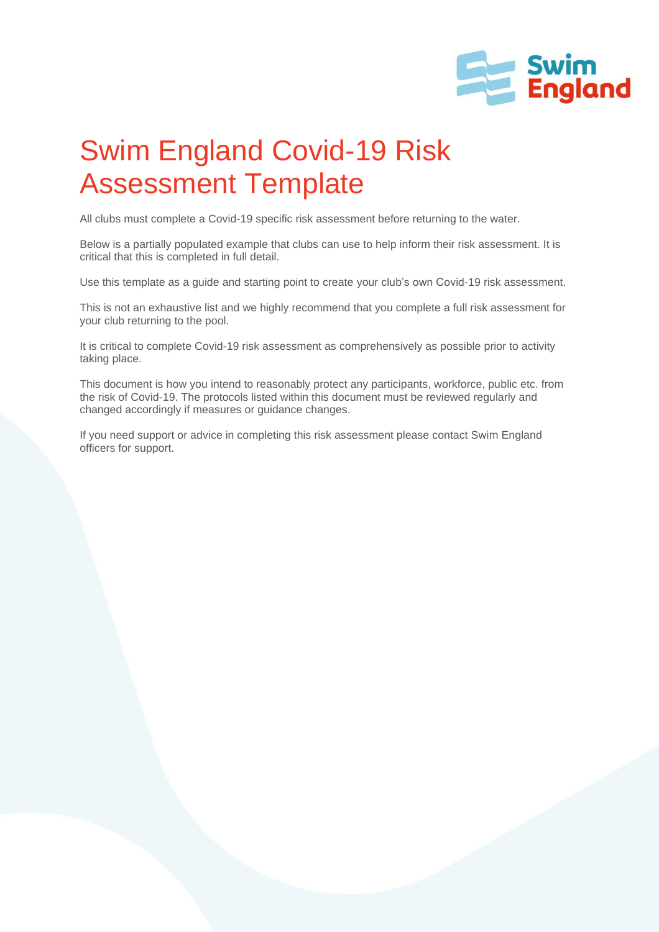

## Swim England Covid-19 Risk Assessment Template

All clubs must complete a Covid-19 specific risk assessment before returning to the water.

Below is a partially populated example that clubs can use to help inform their risk assessment. It is critical that this is completed in full detail.

Use this template as a guide and starting point to create your club's own Covid-19 risk assessment.

This is not an exhaustive list and we highly recommend that you complete a full risk assessment for your club returning to the pool.

It is critical to complete Covid-19 risk assessment as comprehensively as possible prior to activity taking place.

This document is how you intend to reasonably protect any participants, workforce, public etc. from the risk of Covid-19. The protocols listed within this document must be reviewed regularly and changed accordingly if measures or guidance changes.

If you need support or advice in completing this risk assessment please contact Swim England officers for support.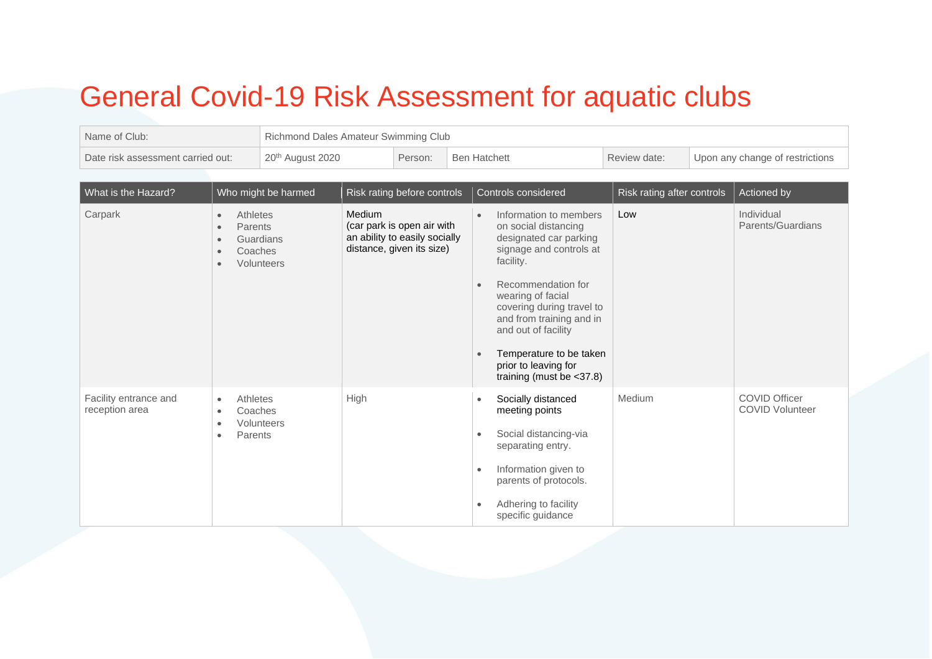## General Covid-19 Risk Assessment for aquatic clubs

| Name of Club:                           |                                                                                                  | Richmond Dales Amateur Swimming Club |        |                                                                                          |  |                                                  |                                                                                                                                                                                                                                                                                                                               |                            |                                 |                                                |
|-----------------------------------------|--------------------------------------------------------------------------------------------------|--------------------------------------|--------|------------------------------------------------------------------------------------------|--|--------------------------------------------------|-------------------------------------------------------------------------------------------------------------------------------------------------------------------------------------------------------------------------------------------------------------------------------------------------------------------------------|----------------------------|---------------------------------|------------------------------------------------|
| Date risk assessment carried out:       |                                                                                                  | 20 <sup>th</sup> August 2020         |        | Person:                                                                                  |  | <b>Ben Hatchett</b>                              |                                                                                                                                                                                                                                                                                                                               | Review date:               | Upon any change of restrictions |                                                |
| What is the Hazard?                     |                                                                                                  | Who might be harmed                  |        | Risk rating before controls                                                              |  |                                                  | Controls considered                                                                                                                                                                                                                                                                                                           | Risk rating after controls |                                 | Actioned by                                    |
| Carpark                                 | Athletes<br>$\bullet$<br>Parents<br>$\epsilon$<br>$\epsilon$<br>Coaches<br><b>C</b><br>$\bullet$ | Guardians<br>Volunteers              | Medium | (car park is open air with<br>an ability to easily socially<br>distance, given its size) |  | $\bullet$                                        | Information to members<br>on social distancing<br>designated car parking<br>signage and controls at<br>facility.<br>Recommendation for<br>wearing of facial<br>covering during travel to<br>and from training and in<br>and out of facility<br>Temperature to be taken<br>prior to leaving for<br>training (must be $<$ 37.8) | Low                        |                                 | Individual<br>Parents/Guardians                |
| Facility entrance and<br>reception area | Athletes<br>$\bullet$<br>Coaches<br>$\bullet$<br>Parents<br>$\bullet$                            | Volunteers                           | High   |                                                                                          |  | $\bullet$<br>$\bullet$<br>$\bullet$<br>$\bullet$ | Socially distanced<br>meeting points<br>Social distancing-via<br>separating entry.<br>Information given to<br>parents of protocols.<br>Adhering to facility<br>specific guidance                                                                                                                                              | Medium                     |                                 | <b>COVID Officer</b><br><b>COVID Volunteer</b> |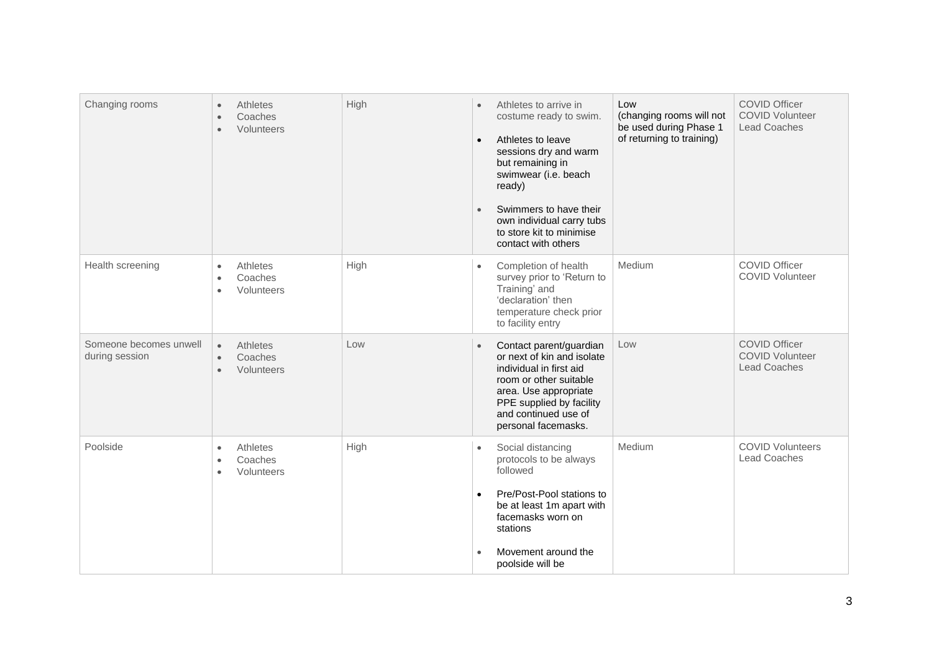| Changing rooms                           | Athletes<br>$\bullet$<br>Coaches<br>$\bullet$<br>Volunteers<br>$\bullet$ | High | Athletes to arrive in<br>$\bullet$<br>costume ready to swim.<br>Athletes to leave<br>$\bullet$<br>sessions dry and warm<br>but remaining in<br>swimwear (i.e. beach<br>ready)<br>Swimmers to have their<br>$\bullet$<br>own individual carry tubs<br>to store kit to minimise<br>contact with others | Low<br>(changing rooms will not<br>be used during Phase 1<br>of returning to training) | <b>COVID Officer</b><br><b>COVID Volunteer</b><br><b>Lead Coaches</b> |
|------------------------------------------|--------------------------------------------------------------------------|------|------------------------------------------------------------------------------------------------------------------------------------------------------------------------------------------------------------------------------------------------------------------------------------------------------|----------------------------------------------------------------------------------------|-----------------------------------------------------------------------|
| Health screening                         | Athletes<br>$\bullet$<br>Coaches<br>$\bullet$<br>Volunteers<br>$\bullet$ | High | Completion of health<br>$\bullet$<br>survey prior to 'Return to<br>Training' and<br>'declaration' then<br>temperature check prior<br>to facility entry                                                                                                                                               | Medium                                                                                 | <b>COVID Officer</b><br><b>COVID Volunteer</b>                        |
| Someone becomes unwell<br>during session | Athletes<br>$\bullet$<br>Coaches<br>$\bullet$<br>Volunteers<br>$\bullet$ | Low  | Contact parent/guardian<br>$\bullet$<br>or next of kin and isolate<br>individual in first aid<br>room or other suitable<br>area. Use appropriate<br>PPE supplied by facility<br>and continued use of<br>personal facemasks.                                                                          | Low                                                                                    | <b>COVID Officer</b><br><b>COVID Volunteer</b><br><b>Lead Coaches</b> |
| Poolside                                 | Athletes<br>$\bullet$<br>Coaches<br>$\bullet$<br>Volunteers<br>$\bullet$ | High | Social distancing<br>protocols to be always<br>followed<br>Pre/Post-Pool stations to<br>$\bullet$<br>be at least 1m apart with<br>facemasks worn on<br>stations<br>Movement around the<br>poolside will be                                                                                           | Medium                                                                                 | <b>COVID Volunteers</b><br><b>Lead Coaches</b>                        |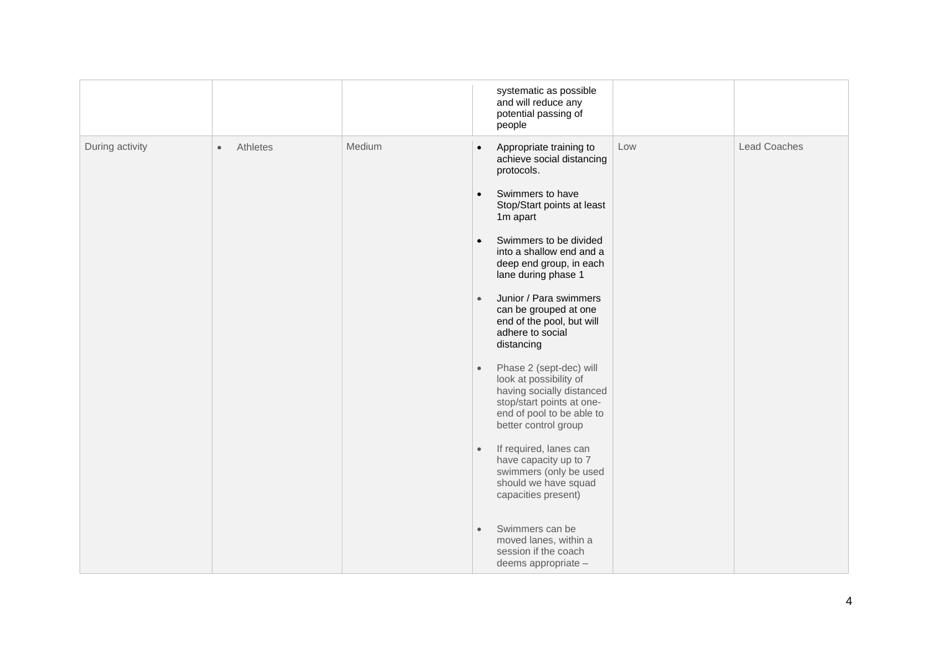|                 |                       |        |           | systematic as possible<br>and will reduce any<br>potential passing of<br>people                                                                                  |     |                     |
|-----------------|-----------------------|--------|-----------|------------------------------------------------------------------------------------------------------------------------------------------------------------------|-----|---------------------|
| During activity | Athletes<br>$\bullet$ | Medium | $\bullet$ | Appropriate training to<br>achieve social distancing<br>protocols.                                                                                               | Low | <b>Lead Coaches</b> |
|                 |                       |        | $\bullet$ | Swimmers to have<br>Stop/Start points at least<br>1m apart                                                                                                       |     |                     |
|                 |                       |        | $\bullet$ | Swimmers to be divided<br>into a shallow end and a<br>deep end group, in each<br>lane during phase 1                                                             |     |                     |
|                 |                       |        | $\bullet$ | Junior / Para swimmers<br>can be grouped at one<br>end of the pool, but will<br>adhere to social<br>distancing                                                   |     |                     |
|                 |                       |        | $\bullet$ | Phase 2 (sept-dec) will<br>look at possibility of<br>having socially distanced<br>stop/start points at one-<br>end of pool to be able to<br>better control group |     |                     |
|                 |                       |        | $\bullet$ | If required, lanes can<br>have capacity up to 7<br>swimmers (only be used<br>should we have squad<br>capacities present)                                         |     |                     |
|                 |                       |        | $\bullet$ | Swimmers can be<br>moved lanes, within a<br>session if the coach<br>deems appropriate -                                                                          |     |                     |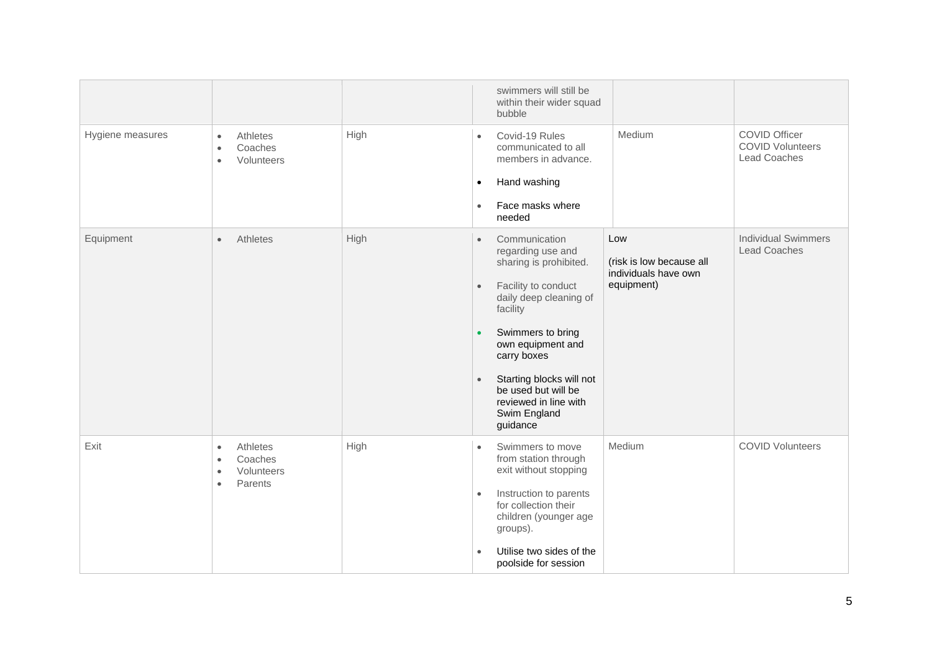|                  |                                                                                                  |      | swimmers will still be<br>within their wider squad<br>bubble                                                                                                                                                                                                                                                                                   |                                                                       |                                                                        |
|------------------|--------------------------------------------------------------------------------------------------|------|------------------------------------------------------------------------------------------------------------------------------------------------------------------------------------------------------------------------------------------------------------------------------------------------------------------------------------------------|-----------------------------------------------------------------------|------------------------------------------------------------------------|
| Hygiene measures | Athletes<br>$\bullet$<br>Coaches<br>$\bullet$<br>Volunteers<br>$\bullet$                         | High | Covid-19 Rules<br>$\bullet$<br>communicated to all<br>members in advance.<br>Hand washing<br>$\bullet$<br>Face masks where<br>$\bullet$<br>needed                                                                                                                                                                                              | Medium                                                                | <b>COVID Officer</b><br><b>COVID Volunteers</b><br><b>Lead Coaches</b> |
| Equipment        | Athletes<br>$\bullet$                                                                            | High | Communication<br>$\bullet$<br>regarding use and<br>sharing is prohibited.<br>Facility to conduct<br>$\bullet$<br>daily deep cleaning of<br>facility<br>Swimmers to bring<br>$\bullet$<br>own equipment and<br>carry boxes<br>Starting blocks will not<br>$\bullet$<br>be used but will be<br>reviewed in line with<br>Swim England<br>guidance | Low<br>(risk is low because all<br>individuals have own<br>equipment) | <b>Individual Swimmers</b><br><b>Lead Coaches</b>                      |
| Exit             | Athletes<br>$\bullet$<br>Coaches<br>$\bullet$<br>Volunteers<br>$\bullet$<br>Parents<br>$\bullet$ | High | Swimmers to move<br>$\bullet$<br>from station through<br>exit without stopping<br>Instruction to parents<br>$\bullet$<br>for collection their<br>children (younger age<br>groups).<br>Utilise two sides of the<br>poolside for session                                                                                                         | Medium                                                                | <b>COVID Volunteers</b>                                                |